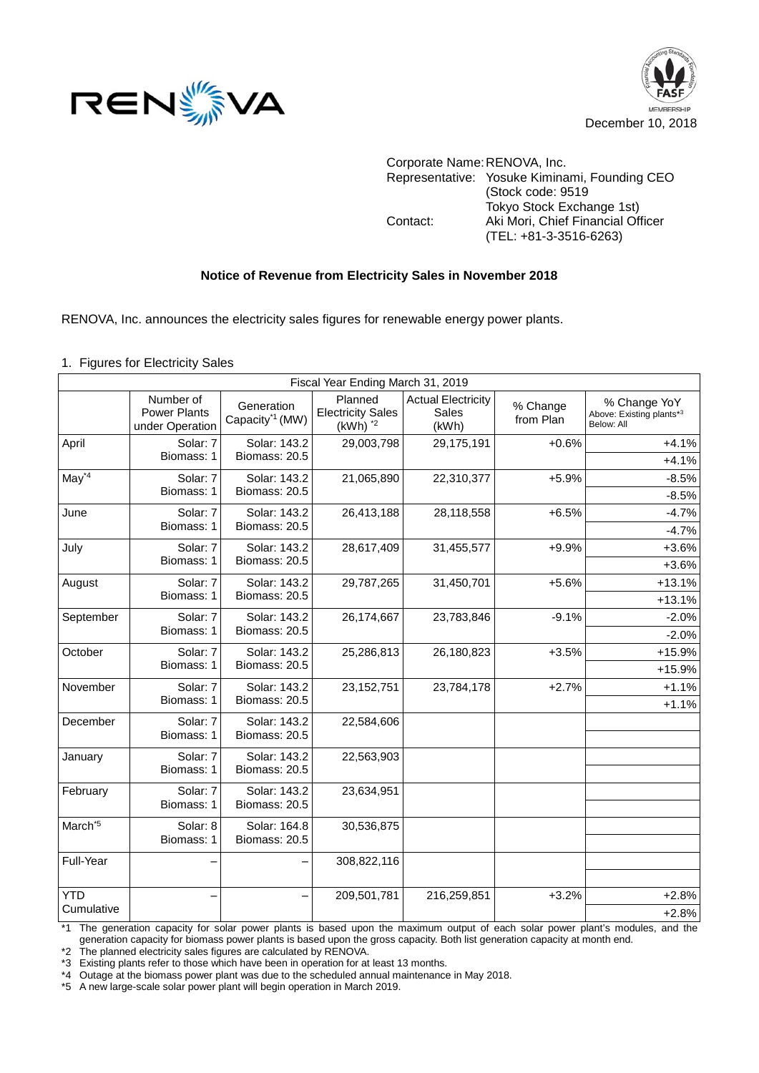



Corporate Name:RENOVA, Inc. Representative: Yosuke Kiminami, Founding CEO (Stock code: 9519 Tokyo Stock Exchange 1st) Contact: Aki Mori, Chief Financial Officer (TEL: +81-3-3516-6263)

## **Notice of Revenue from Electricity Sales in November 2018**

RENOVA, Inc. announces the electricity sales figures for renewable energy power plants.

1. Figures for Electricity Sales

| Fiscal Year Ending March 31, 2019 |                                                     |                                           |                                                     |                                                    |                       |                                                        |  |  |  |
|-----------------------------------|-----------------------------------------------------|-------------------------------------------|-----------------------------------------------------|----------------------------------------------------|-----------------------|--------------------------------------------------------|--|--|--|
|                                   | Number of<br><b>Power Plants</b><br>under Operation | Generation<br>Capacity <sup>*1</sup> (MW) | Planned<br><b>Electricity Sales</b><br>$(kWh)$ $*2$ | <b>Actual Electricity</b><br><b>Sales</b><br>(kWh) | % Change<br>from Plan | % Change YoY<br>Above: Existing plants*3<br>Below: All |  |  |  |
| April                             | Solar: 7<br>Biomass: 1                              | Solar: 143.2<br>Biomass: 20.5             | 29,003,798                                          | 29,175,191                                         | $+0.6%$               | $+4.1%$<br>$+4.1%$                                     |  |  |  |
| $May*4$                           | Solar: 7<br>Biomass: 1                              | Solar: 143.2<br>Biomass: 20.5             | 21,065,890                                          | 22,310,377                                         | $+5.9%$               | $-8.5%$<br>$-8.5%$                                     |  |  |  |
| June                              | Solar: 7<br>Biomass: 1                              | Solar: 143.2<br>Biomass: 20.5             | 26,413,188                                          | 28,118,558                                         | $+6.5%$               | $-4.7%$<br>$-4.7%$                                     |  |  |  |
| July                              | Solar: 7<br>Biomass: 1                              | Solar: 143.2<br>Biomass: 20.5             | 28,617,409                                          | 31,455,577                                         | $+9.9%$               | $+3.6%$<br>$+3.6%$                                     |  |  |  |
| August                            | Solar: 7<br>Biomass: 1                              | Solar: 143.2<br>Biomass: 20.5             | 29,787,265                                          | 31,450,701                                         | $+5.6%$               | $+13.1%$<br>$+13.1%$                                   |  |  |  |
| September                         | Solar: 7<br>Biomass: 1                              | Solar: 143.2<br>Biomass: 20.5             | 26,174,667                                          | 23,783,846                                         | $-9.1%$               | $-2.0%$<br>$-2.0%$                                     |  |  |  |
| October                           | Solar: 7<br>Biomass: 1                              | Solar: 143.2<br>Biomass: 20.5             | 25,286,813                                          | 26,180,823                                         | $+3.5%$               | $+15.9%$<br>+15.9%                                     |  |  |  |
| November                          | Solar: 7<br>Biomass: 1                              | Solar: 143.2<br>Biomass: 20.5             | 23, 152, 751                                        | 23,784,178                                         | $+2.7%$               | $+1.1%$<br>$+1.1%$                                     |  |  |  |
| December                          | Solar: 7<br>Biomass: 1                              | Solar: 143.2<br>Biomass: 20.5             | 22,584,606                                          |                                                    |                       |                                                        |  |  |  |
| January                           | Solar: 7<br>Biomass: 1                              | Solar: 143.2<br>Biomass: 20.5             | 22,563,903                                          |                                                    |                       |                                                        |  |  |  |
| February                          | Solar: 7<br>Biomass: 1                              | Solar: 143.2<br>Biomass: 20.5             | 23,634,951                                          |                                                    |                       |                                                        |  |  |  |
| March <sup>*5</sup>               | Solar: 8<br>Biomass: 1                              | Solar: 164.8<br>Biomass: 20.5             | 30,536,875                                          |                                                    |                       |                                                        |  |  |  |
| Full-Year                         |                                                     |                                           | 308,822,116                                         |                                                    |                       |                                                        |  |  |  |
| <b>YTD</b><br>Cumulative          |                                                     |                                           | 209,501,781                                         | 216,259,851                                        | $+3.2%$               | $+2.8%$<br>$+2.8%$                                     |  |  |  |

\*1 The generation capacity for solar power plants is based upon the maximum output of each solar power plant's modules, and the generation capacity for biomass power plants is based upon the gross capacity. Both list generation capacity at month end.

\*2 The planned electricity sales figures are calculated by RENOVA.

\*3 Existing plants refer to those which have been in operation for at least 13 months.

\*4 Outage at the biomass power plant was due to the scheduled annual maintenance in May 2018.

\*5 A new large-scale solar power plant will begin operation in March 2019.